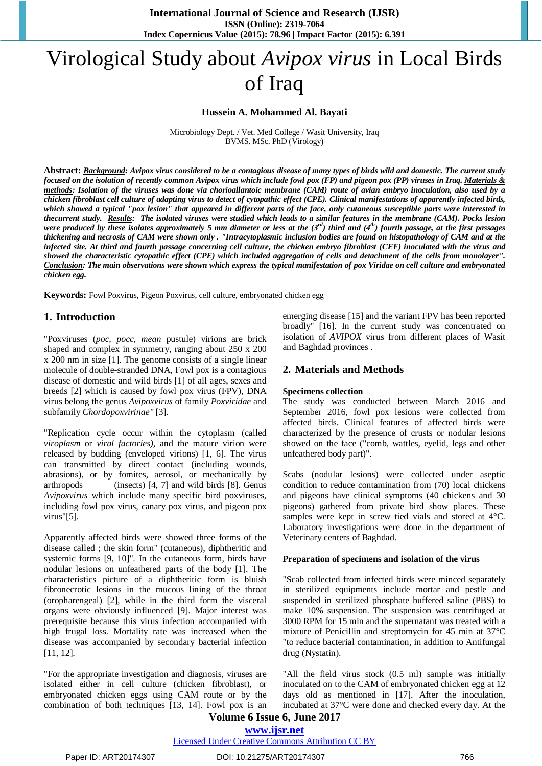# Virological Study about *Avipox virus* in Local Birds of Iraq

# **Hussein A. Mohammed Al. Bayati**

Microbiology Dept. / Vet. Med College / Wasit University, Iraq BVMS. MSc. PhD (Virology)

Abstract: Background: Avipox virus considered to be a contagious disease of many types of birds wild and domestic. The current study focused on the isolation of recently common Avipox virus which include fowl pox (FP) and pigeon pox (PP) viruses in Iraq. Materials & methods: Isolation of the viruses was done via chorioallantoic membrane (CAM) route of avian embryo inoculation, also used by a chicken fibroblast cell culture of adapting virus to detect of cytopathic effect (CPE). Clinical manifestations of apparently infected birds, which showed a typical "pox lesion" that appeared in different parts of the face, only cutaneous susceptible parts were interested in thecurrent study. Results: The isolated viruses were studied which leads to a similar features in the membrane (CAM). Pocks lesion were produced by these isolates approximately 5 mm diameter or less at the  $(3^{rd})$  third and  $(4^{th})$  fourth passage, at the first passages thickening and necrosis of CAM were shown only. "Intracytoplasmic inclusion bodies are found on histopathology of CAM and at the infected site. At third and fourth passage concerning cell culture, the chicken embryo fibroblast (CEF) inoculated with the virus and showed the characteristic cytopathic effect (CPE) which included aggregation of cells and detachment of the cells from monolayer". Conclusion: The main observations were shown which express the typical manifestation of pox Viridae on cell culture and embryonated *chicken egg.*

**Keywords:** Fowl Poxvirus, Pigeon Poxvirus, cell culture, embryonated chicken egg

# **1. Introduction**

"Poxviruses (*poc, pocc, mean* pustule) virions are brick shaped and complex in symmetry, ranging about 250 x 200 x 200 nm in size [1]. The genome consists of a single linear molecule of double-stranded DNA, Fowl pox is a contagious disease of domestic and wild birds [1] of all ages, sexes and breeds [2] which is caused by fowl pox virus (FPV), DNA virus belong the genus *Avipoxvirus* of family *Poxviridae* and subfamily *Chordopoxvirinae"* [3].

"Replication cycle occur within the cytoplasm (called *viroplasm* or *viral factories),* and the mature virion were released by budding (enveloped virions) [1, 6]. The virus can transmitted by direct contact (including wounds, abrasions), or by fomites, aerosol, or mechanically by arthropods (insects) [4, 7] and wild birds [8]. Genus *Avipoxvirus* which include many specific bird poxviruses, including fowl pox virus, canary pox virus, and pigeon pox virus"[5].

Apparently affected birds were showed three forms of the disease called ; the skin form" (cutaneous), diphtheritic and systemic forms [9, 10]". In the cutaneous form, birds have nodular lesions on unfeathered parts of the body [1]. The characteristics picture of a diphtheritic form is bluish fibronecrotic lesions in the mucous lining of the throat (oropharengeal) [2], while in the third form the visceral organs were obviously influenced [9]. Major interest was prerequisite because this virus infection accompanied with high frugal loss. Mortality rate was increased when the disease was accompanied by secondary bacterial infection [11, 12].

"For the appropriate investigation and diagnosis, viruses are isolated either in cell culture (chicken fibroblast), or embryonated chicken eggs using CAM route or by the combination of both techniques [13, 14]. Fowl pox is an emerging disease [15] and the variant FPV has been reported broadly" [16]. In the current study was concentrated on isolation of *AVIPOX* virus from different places of Wasit and Baghdad provinces .

# **2. Materials and Methods**

# **Specimens collection**

The study was conducted between March 2016 and September 2016, fowl pox lesions were collected from affected birds. Clinical features of affected birds were characterized by the presence of crusts or nodular lesions showed on the face ("comb, wattles, eyelid, legs and other unfeathered body part)".

Scabs (nodular lesions) were collected under aseptic condition to reduce contamination from (70) local chickens and pigeons have clinical symptoms (40 chickens and 30 pigeons) gathered from private bird show places. These samples were kept in screw tied vials and stored at 4°C. Laboratory investigations were done in the department of Veterinary centers of Baghdad.

#### **Preparation of specimens and isolation of the virus**

"Scab collected from infected birds were minced separately in sterilized equipments include mortar and pestle and suspended in sterilized phosphate buffered saline (PBS) to make 10% suspension. The suspension was centrifuged at 3000 RPM for 15 min and the supernatant was treated with a mixture of Penicillin and streptomycin for 45 min at 37°C "to reduce bacterial contamination, in addition to Antifungal drug (Nystatin).

"All the field virus stock (0.5 ml) sample was initially inoculated on to the CAM of embryonated chicken egg at 12 days old as mentioned in [17]. After the inoculation, incubated at 37°C were done and checked every day. At the

# **Volume 6 Issue 6, June 2017 www.ijsr.net**

Licensed Under Creative Commons Attribution CC BY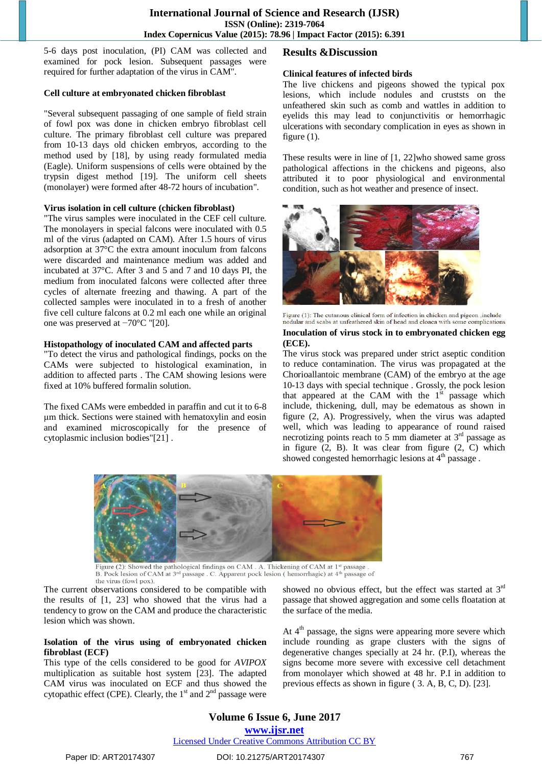5-6 days post inoculation, (PI) CAM was collected and examined for pock lesion. Subsequent passages were required for further adaptation of the virus in CAM".

# **Cell culture at embryonated chicken fibroblast**

"Several subsequent passaging of one sample of field strain of fowl pox was done in chicken embryo fibroblast cell culture. The primary fibroblast cell culture was prepared from 10-13 days old chicken embryos, according to the method used by [18], by using ready formulated media (Eagle). Uniform suspensions of cells were obtained by the trypsin digest method [19]. The uniform cell sheets (monolayer) were formed after 48-72 hours of incubation".

# **Virus isolation in cell culture (chicken fibroblast)**

"The virus samples were inoculated in the CEF cell culture. The monolayers in special falcons were inoculated with 0.5 ml of the virus (adapted on CAM). After 1.5 hours of virus adsorption at 37°C the extra amount inoculum from falcons were discarded and maintenance medium was added and incubated at 37°C. After 3 and 5 and 7 and 10 days PI, the medium from inoculated falcons were collected after three cycles of alternate freezing and thawing. A part of the collected samples were inoculated in to a fresh of another five cell culture falcons at 0.2 ml each one while an original one was preserved at −70°C "[20].

# **Histopathology of inoculated CAM and affected parts**

"To detect the virus and pathological findings, pocks on the CAMs were subjected to histological examination, in addition to affected parts . The CAM showing lesions were fixed at 10% buffered formalin solution.

The fixed CAMs were embedded in paraffin and cut it to 6-8 μm thick. Sections were stained with hematoxylin and eosin and examined microscopically for the presence of cytoplasmic inclusion bodies"[21] .

# **Results &Discussion**

# **Clinical features of infected birds**

The live chickens and pigeons showed the typical pox lesions, which include nodules and cruststs on the unfeathered skin such as comb and wattles in addition to eyelids this may lead to conjunctivitis or hemorrhagic ulcerations with secondary complication in eyes as shown in figure  $(1)$ .

These results were in line of [1, 22]who showed same gross pathological affections in the chickens and pigeons, also attributed it to poor physiological and environmental condition, such as hot weather and presence of insect.



Figure (1): The cutanous clinical form of infection in chicken and pigeon , include nodular and scabs at unfeathered skin of head and cloaca with some complications

#### **Inoculation of virus stock in to embryonated chicken egg (ECE).**

The virus stock was prepared under strict aseptic condition to reduce contamination. The virus was propagated at the Chorioallantoic membrane (CAM) of the embryo at the age 10-13 days with special technique . Grossly, the pock lesion that appeared at the CAM with the  $1<sup>st</sup>$  passage which include, thickening, dull, may be edematous as shown in figure (2, A). Progressively, when the virus was adapted well, which was leading to appearance of round raised necrotizing points reach to 5 mm diameter at 3<sup>rd</sup> passage as in figure  $(2, B)$ . It was clear from figure  $(2, C)$  which showed congested hemorrhagic lesions at 4<sup>th</sup> passage.



Figure (2): Showed the pathological findings on CAM . A. Thickening of CAM at 1<sup>st</sup> passage . B. Pock lesion of CAM at 3<sup>rd</sup> passage . C. Apparent pock lesion ( hemorrhagic) at 4<sup>th</sup> passage of B. Pock lesion of CAM at 3<sup>rd</sup> passage . C. Apparent pock l<br>the virus (fowl pox).<br>The current observations considered to be compatible with

the results of [1, 23] who showed that the virus had a tendency to grow on the CAM and produce the characteristic lesion which was shown.

#### **Isolation of the virus using of embryonated chicken fibroblast (ECF)**

This type of the cells considered to be good for *AVIPOX* multiplication as suitable host system [23]. The adapted CAM virus was inoculated on ECF and thus showed the cytopathic effect (CPE). Clearly, the  $1<sup>st</sup>$  and  $2<sup>nd</sup>$  passage were

showed no obvious effect, but the effect was started at  $3^{rd}$ passage that showed aggregation and some cells floatation at the surface of the media.

At 4<sup>th</sup> passage, the signs were appearing more severe which include rounding as grape clusters with the signs of degenerative changes specially at 24 hr. (P.I), whereas the signs become more severe with excessive cell detachment from monolayer which showed at 48 hr. P.I in addition to previous effects as shown in figure ( 3. A, B, C, D). [23].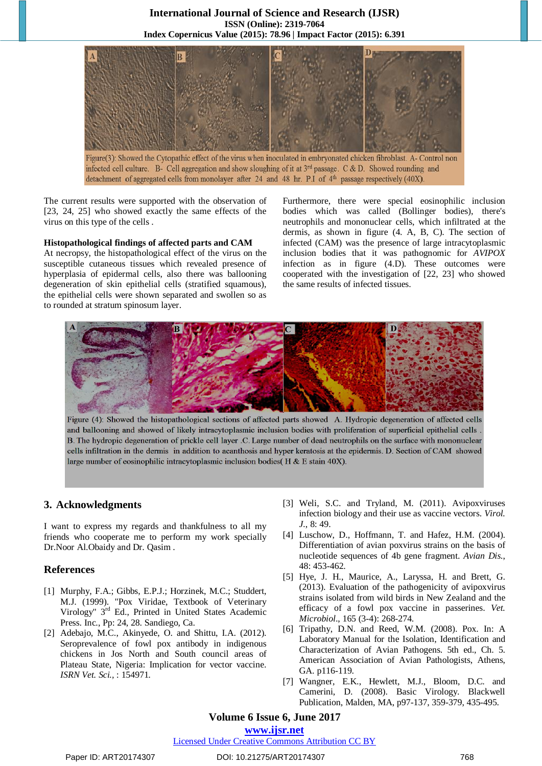# **International Journal of Science and Research (IJSR) ISSN (Online): 2319-7064 Index Copernicus Value (2015): 78.96 | Impact Factor (2015): 6.391**



Figure(3): Showed the Cytopathic effect of the virus when inoculated in embryonated chicken fibroblast. A- Control non infected cell culture. B- Cell aggregation and show sloughing of it at  $3^{rd}$  passage. C & D. Showed rounding and detachment of aggregated cells from monolayer after 24 and 48 hr. P.I of 4<sup>th</sup> passage respectively (40X).

The current results were supported with the observation of [23, 24, 25] who showed exactly the same effects of the virus on this type of the cells .

# **Histopathological findings of affected parts and CAM**

At necropsy, the histopathological effect of the virus on the susceptible cutaneous tissues which revealed presence of hyperplasia of epidermal cells, also there was ballooning degeneration of skin epithelial cells (stratified squamous), the epithelial cells were shown separated and swollen so as to rounded at stratum spinosum layer.

Furthermore, there were special eosinophilic inclusion bodies which was called (Bollinger bodies), there's neutrophils and mononuclear cells, which infiltrated at the dermis, as shown in figure (4. A, B, C). The section of infected (CAM) was the presence of large intracytoplasmic inclusion bodies that it was pathognomic for *AVIPOX* infection as in figure (4.D). These outcomes were cooperated with the investigation of [22, 23] who showed the same results of infected tissues.

I



Figure (4): Showed the histopathological sections of affected parts showed A. Hydropic degeneration of affected cells and ballooning and showed of likely intracytoplasmic inclusion bodies with proliferation of superficial epithelial cells B. The hydropic degeneration of prickle cell layer .C. Large number of dead neutrophils on the surface with mononuclear cells infiltration in the dermis in addition to acanthosis and hyper keratosis at the epidermis. D. Section of CAM showed large number of eosinophilic intracytoplasmic inclusion bodies( H & E stain 40X).

# **3. Acknowledgments**

I want to express my regards and thankfulness to all my friends who cooperate me to perform my work specially Dr.Noor Al.Obaidy and Dr. Qasim .

# **References**

- [1] Murphy, F.A.; Gibbs, E.P.J.; Horzinek, M.C.; Studdert, M.J. (1999). "Pox Viridae, Textbook of Veterinary Virology" 3<sup>rd</sup> Ed., Printed in United States Academic Press. Inc., Pp: 24, 28. Sandiego, Ca.
- [2] Adebajo, M.C., Akinyede, O. and Shittu, I.A. (2012). Seroprevalence of fowl pox antibody in indigenous chickens in Jos North and South council areas of Plateau State, Nigeria: Implication for vector vaccine. *ISRN Vet. Sci.,* : 154971*.*
- [3] Weli, S.C. and Tryland, M. (2011). Avipoxviruses infection biology and their use as vaccine vectors. *Virol. J.*, 8: 49.
- [4] Luschow, D., Hoffmann, T. and Hafez, H.M. (2004). Differentiation of avian poxvirus strains on the basis of nucleotide sequences of 4b gene fragment. *Avian Dis.*, 48: 453-462.
- [5] Hye, J. H., Maurice, A., Laryssa, H. and Brett, G. (2013). Evaluation of the pathogenicity of avipoxvirus strains isolated from wild birds in New Zealand and the efficacy of a fowl pox vaccine in passerines. *Vet. Microbiol*., 165 (3-4): 268-274.
- [6] Tripathy, D.N. and Reed, W.M. (2008). Pox. In: A Laboratory Manual for the Isolation, Identification and Characterization of Avian Pathogens. 5th ed., Ch. 5. American Association of Avian Pathologists, Athens, GA. p116-119.
- [7] Wangner, E.K., Hewlett, M.J., Bloom, D.C. and Camerini, D. (2008). Basic Virology. Blackwell Publication, Malden, MA, p97-137, 359-379, 435-495.

# **Volume 6 Issue 6, June 2017**

# **www.ijsr.net**

# Licensed Under Creative Commons Attribution CC BY